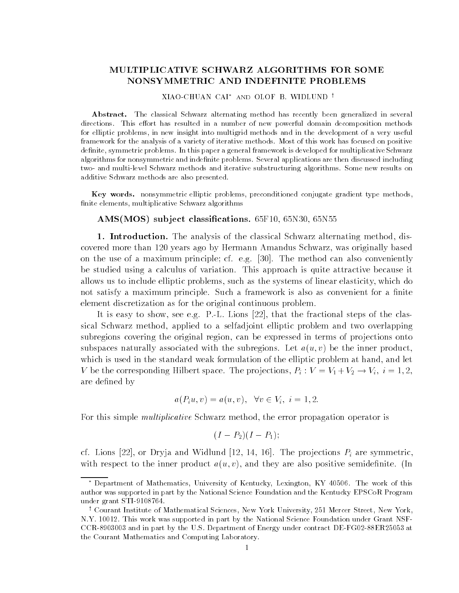# MULTIPLICATIVE SCHWARZ ALGORITHMS FOR SOME NONSYMMETRIC AND INDEFINITE PROBLEMS

#### XIAO-CHUAN CAI<sup>\*</sup> and OLOF B. WIDLUND <sup>†</sup>

Abstract. The classical Schwarz alternating method has recently been generalized in several directions This e-ort has resulted in a number of new powerful domain decomposition methods for elliptic problems, in new insight into multigrid methods and in the development of a very useful framework for the analysis of a variety of iterative methods Most of this work has focused on positive definite, symmetric problems. In this paper a general framework is developed for multiplicative Schwarz algorithms for nonsymmetric and indefinite problems. Several applications are then discussed including two- and multi-level Schwarz methods and iterative substructuring algorithms. Some new results on additive Schwarz methods are also presented

Key words. nonsymmetric elliptic problems, preconditioned conjugate gradient type methods, finite elements, multiplicative Schwarz algorithms

### AMSMOS sub ject classi-cations F- N N

1. Introduction. The analysis of the classical Schwarz alternating method, discovered more thanks ago pensating agonization and the schwarz was originally based or the second contract of th on the use of a maximum principle can also conveniently  $\mathbf{M}$  also conveniently conveniently  $\mathbf{M}$ be studied using a calculus of variation. This approach is quite attractive because it allows us to include elliptic problems such as the systems of linear elasticity which do not satisfy a maximum principle. Such a framework is also as convenient for a finite element discretization as for the original continuous problem 

It is easy to show see easy to show see easy to show see easy to the fractional steps of the class of the class sical Schwarz method, applied to a selfadjoint elliptic problem and two overlapping subregions covering the original region, can be expressed in terms of projections onto subspaces naturally associated with the subregions. Let  $a(u, v)$  be the inner product, which is used in the standard weak formulation of the elliptic problem at hand, and let V be the corresponding Hilbert space. The projections,  $P_i : V = V_1 + V_2 \rightarrow V_i, i = 1, 2, \dots$ are defined by

$$
a(P_iu, v) = a(u, v), \forall v \in V_i, i = 1, 2.
$$

For this simple *multiplicative* Schwarz method, the error propagation operator is

$$
(I-P_2)(I-P_1);
$$

cf, michic limit are line and with the property of the productions of are climated to the with respect to the inner product  $a(u, v)$ , and they are also positive semidefinite. (In

Department of Mathematics University of Kentucky Lexington KY The work of this author was supported in part by the National Science Foundation and the Kentucky EPSCoR Program  $\mathcal{L}$  and  $\mathcal{L}$  and  $\mathcal{L}$  and  $\mathcal{L}$  and  $\mathcal{L}$  and  $\mathcal{L}$  and  $\mathcal{L}$  and  $\mathcal{L}$  and  $\mathcal{L}$  and  $\mathcal{L}$  and  $\mathcal{L}$  and  $\mathcal{L}$  and  $\mathcal{L}$  and  $\mathcal{L}$  and  $\mathcal{L}$  and  $\mathcal{L}$  and  $\mathcal{L}$  and

wourant institute of mathematical sciences, New York University, 251 mercer street, New York, NY This work was supported in part by the National Science Foundation under Grant NSF  $CCR-8903003$  and in part by the U.S. Department of Energy under contract DE-FG02-88ER25053 at the Courant Mathematics and Computing Laboratory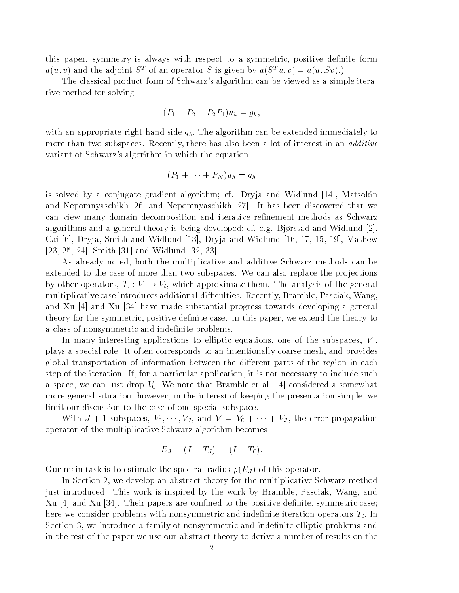this paper, symmetry is always with respect to a symmetric, positive definite form  $a(u, v)$  and the adjoint  $S<sup>T</sup>$  of an operator S is given by  $a(S<sup>T</sup>u, v) = a(u, Sv)$ .

The classical product form of Schwarz's algorithm can be viewed as a simple iterative method for solving

$$
(P_1 + P_2 - P_2 P_1)u_h = g_h,
$$

with an appropriate right-hand side  $g_h$ . The algorithm can be extended immediately to more than two subspaces. Recently, there has also been a lot of interest in an *additive* variant of Schwarz's algorithm in which the equation

$$
(P_1 + \cdots + P_N)u_h = g_h
$$

is solved by a conjugate gradient algorithm cf of Dryja and Widelman (Pr) and Widelm and Nepomnyaschikh and Nepomnyaschikh It has been discovered that we can view many domain decomposition and iterative renement methods as Schwarz algorithms and a general theory is being developed cf. e.g. Bijrstad and Widman I Bjr can joji menjadi bertir mene ilene mene jeoji meljan mene ilene mene jeoj eli eoj eoji elemente li Smith - and Widlund 

As already noted, both the multiplicative and additive Schwarz methods can be extended to the case of more than two subspaces. We can also replace the projections by other operators,  $T_i: V \to V_i$ , which approximate them. The analysis of the general multiplicative case introduces additional difficulties. Recently, Bramble, Pasciak, Wang, and the progress that is the substantial progress to the contribution of  $\pi$  and  $\pi$ theory for the symmetric, positive definite case. In this paper, we extend the theory to a class of nonsymmetric and indefinite problems.

In many interesting applications to elliptic equations one of the subspaces Vplays a special role. It often corresponds to an intentionally coarse mesh, and provides global transportation of information between the different parts of the region in each step of the iteration. If, for a particular application, it is not necessary to include such a space, we can just drop VI-V- note that Bramble et al. I considered a somewhat more general situation; however, in the interest of keeping the presentation simple, we limit our discussion to the case of one special subspace.

With  $J + 1$  subspaces,  $V_0, \dots, V_J$ , and  $V = V_0 + \dots + V_J$ , the error propagation operator of the multiplicative Schwarz algorithm becomes

$$
E_J = (I - T_J) \cdots (I - T_0).
$$

 $\sigma$  ar main task is to estimate the spectral radius  $\mu$  ( $\equiv$  ) ) or this operator.

In Section 2, we develop an abstract theory for the multiplicative Schwarz method just introduced. This work is inspired by the work by Bramble, Pasciak, Wang, and Xu and Xu Their papers are conned to the positive denite symmetric case here we consider problems with nonsymmetric and indefinite iteration operators  $T_i$ . In Section 3, we introduce a family of nonsymmetric and indefinite elliptic problems and in the rest of the paper we use our abstract theory to deriveanumber of results on the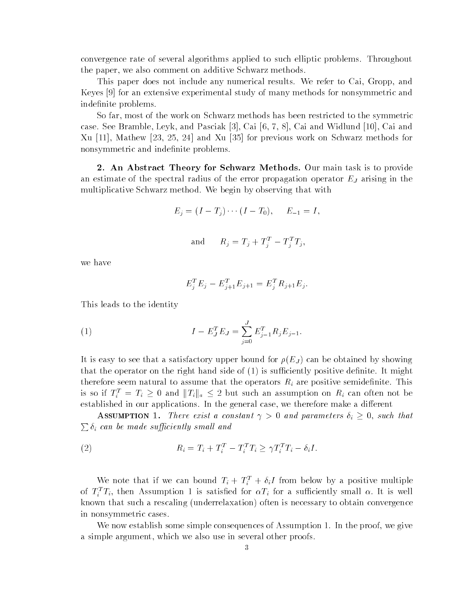convergence rate of several algorithms applied to such elliptic problems. Throughout the paper, we also comment on additive Schwarz methods.

This paper does not include any numerical results. We refer to Cai, Gropp, and Keyes for an extensive experimental study of many methods for nonsymmetric and indefinite problems.

So far, most of the work on Schwarz methods has been restricted to the symmetric case of the Bramble Brand Pascial of the Pascial (1919) in the United States (1919) in the Wideline Xu -- Mathew and Xu for previous work on Schwarz methods for nonsymmetric and indefinite problems.

2. An Abstract Theory for Schwarz Methods. Our main task is to provide an estimate of the spectral radius of the error propagation operator  $E_J$  arising in the multiplicative Schwarz method. We begin by observing that with

$$
E_j = (I - T_j) \cdots (I - T_0), \quad E_{-1} = I,
$$

$$
\quad \text{and} \qquad R_j = T_j + T_j^T - T_j^T T_j,
$$

we have

$$
E_j^T E_j - E_{j+1}^T E_{j+1} = E_j^T R_{j+1} E_j.
$$

This leads to the identity

(1) 
$$
I - E_J^T E_J = \sum_{j=0}^J E_{j-1}^T R_j E_{j-1}.
$$

It is easy to see that a satisfactory upper bound for  $\mu$  (Eq. ) can be column by showing that the operator on the right hands side of  $\{x_j\}$  is such that  $\{x_j\}$  positive definition at might therefore seem natural to assume that the operators  $R_i$  are positive semidefinite. This is so if  $T_i^T = T_i \geq 0$  and  $||T_i||_a \leq 2$  but such an assumption on  $R_i$  can often not be established in our applications. In the general case, we therefore make a different

**ASSUMPTION** 1. There exist a constant  $\gamma > 0$  and parameters  $\delta_i \geq 0$ , such that  $\sum \delta_i$  can be made sufficiently small and

(2) 
$$
R_i = T_i + T_i^T - T_i^T T_i \geq \gamma T_i^T T_i - \delta_i I.
$$

We note that if we can bound  $T_i + T_i^+ + o_i T$  from below by a positive multiple of  $I_i^{\perp}I_i$ , then Assumption 1 is satisfied for  $\alpha I_i$  for a sumciently small  $\alpha$ . It is well known that such a rescaling (underrelaxation) often is necessary to obtain convergence in nonsymmetric cases 

we now establish some simple consequences of Assumption - In the proof we give  $\pi$  as  $\pi$ a simple argument, which we also use in several other proofs.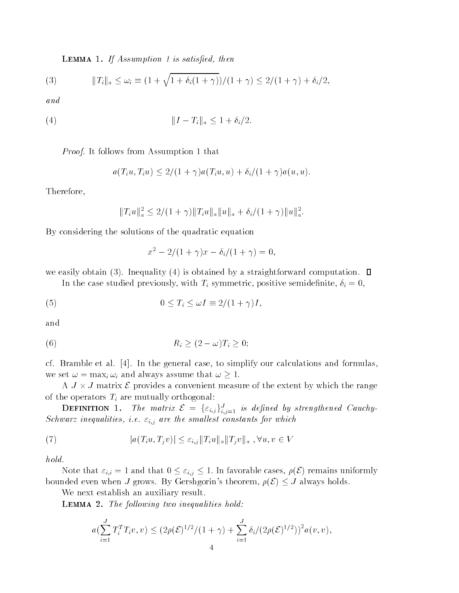Lemma If Assumption is satis-ed then

(3) 
$$
||T_i||_a \le \omega_i \equiv (1 + \sqrt{1 + \delta_i(1 + \gamma)})/(1 + \gamma) \le 2/(1 + \gamma) + \delta_i/2,
$$

and

 kI Tika -i

Protection and the state of the state of the state of the state of the state of the state of the state of the s

$$
a(T_iu, T_iu) \leq 2/(1+\gamma)a(T_iu, u) + \delta_i/(1+\gamma)a(u, u).
$$

Therefore

$$
||T_iu||_a^2 \le 2/(1+\gamma)||T_iu||_a||u||_a + \delta_i/(1+\gamma)||u||_a^2.
$$

By considering the solutions of the quadratic equation

$$
x^2 - 2/(1 + \gamma)x - \delta_i/(1 + \gamma) = 0,
$$

we easily obtain (3). Inequality (4) is obtained by a straightforward computation.  $\square$ 

In the case studied previously, with  $T_i$  symmetric, positive semidefinite,  $\delta_i = 0$ ,

(5) 
$$
0 \leq T_i \leq \omega I \equiv 2/(1+\gamma)I,
$$

and

$$
(6) \t\t R_i \ge (2 - \omega)T_i \ge 0;
$$

case are constant to simply the case  $A$  cases to simplify our cases to simplify our cases and formulas  $\cdots$ we set  $\omega = \max_i \omega_i$  and always assume that  $\omega \geq 1$ .

A  $J \times J$  matrix  $\mathcal E$  provides a convenient measure of the extent by which the range of the operators  $T_i$  are mutually orthogonal:

**DEFINITION** 1. The matrix  $\mathcal{E} = {\varepsilon_{i,j}}_{i,j=1}^J$  is defined by strengthened Cauchy-Schwarz inequalities, i.e.  $\varepsilon_{i,j}$  are the smallest constants for which

(7) 
$$
|a(T_iu, T_jv)| \leq \varepsilon_{i,j} ||T_iu||_a ||T_jv||_a , \forall u, v \in V
$$

hold

Note that  $\varepsilon_{i,i} = 1$  and that  $0 \leq \varepsilon_{i,j} \leq 1$ . In favorable cases,  $\rho(\mathcal{E})$  remains uniformly bounded even when J grows. By Gershgorin's theorem,  $\rho(\mathcal{E}) \leq J$  always holds.

We next establish an auxiliary result.

Lemma - The fol lowing two inequalities hold

$$
a(\sum_{i=1}^{J} T_i^T T_i v, v) \leq (2\rho(\mathcal{E})^{1/2}/(1+\gamma) + \sum_{i=1}^{J} \delta_i/(2\rho(\mathcal{E})^{1/2}))^2 a(v, v),
$$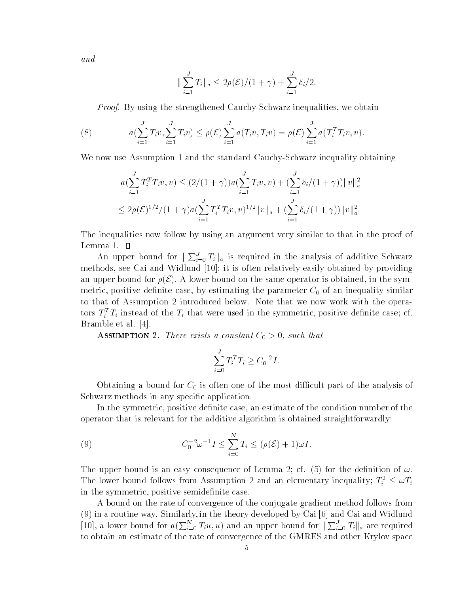and

$$
\|\sum_{i=1}^{J} T_i\|_a \leq 2\rho(\mathcal{E})/(1+\gamma) + \sum_{i=1}^{J} \delta_i/2.
$$

*Proof.* By using the strengthened Cauchy-Schwarz inequalities, we obtain

(8) 
$$
a(\sum_{i=1}^{J} T_i v, \sum_{i=1}^{J} T_i v) \leq \rho(\mathcal{E}) \sum_{i=1}^{J} a(T_i v, T_i v) = \rho(\mathcal{E}) \sum_{i=1}^{J} a(T_i^T T_i v, v).
$$

We now use Assumption - and the standard CauchySchwarz inequality obtaining

$$
a(\sum_{i=1}^{J} T_i^T T_i v, v) \le (2/(1+\gamma))a(\sum_{i=1}^{J} T_i v, v) + (\sum_{i=1}^{J} \delta_i/(1+\gamma))\|v\|_a^2
$$
  

$$
\le 2\rho(\mathcal{E})^{1/2}/(1+\gamma)a(\sum_{i=1}^{J} T_i^T T_i v, v)^{1/2} \|v\|_a + (\sum_{i=1}^{J} \delta_i/(1+\gamma))\|v\|_a^2.
$$

The inequalities now follow by using an argument very similar to that in the proof of

An upper bound for  $\sum_{i=0}^{J} T_i \parallel_a$  is required in the analysis of additive Schwarz methods see Cai and Widlund - it is often relatively easily obtained by providing an upper bound for  $\rho(\mathcal{E})$ . A lower bound on the same operator is obtained, in the symmetric positive denite case by estimating the parameter C- of an inequality similar to that of Assumption 2 introduced below. Note that we now work with the operators  $T_i$   $T_i$  instead of the  $T_i$  that were used in the symmetric, positive definite case; cf. Bramble et al 

 $\frac{1}{2}$  and  $\frac{1}{2}$  and  $\frac{1}{2}$  are exists a constant  $\frac{1}{2}$  of  $\frac{1}{2}$  and that

$$
\sum_{i=0}^{J} T_i^T T_i \ge C_0^{-2} I.
$$

Obtaining a bound for C- is often one of the most dicult part of the analysis of Schwarz methods in any specific application.

In the symmetric, positive definite case, an estimate of the condition number of the operator that is relevant for the additive algorithm is obtained straightforwardly

(9) 
$$
C_0^{-2} \omega^{-1} I \leq \sum_{i=0}^N T_i \leq (\rho(\mathcal{E}) + 1) \omega I.
$$

The upper bound is an easy consequence of Lemma 2; cf. (5) for the definition of  $\omega$ . The lower bound follows from Assumption 2 and an elementary inequality;  $T_i^2 \leq \omega T_i$ in the symmetric, positive semidefinite case.

A bound on the rate of convergence of the conjugate gradient method follows from in a routine way Similarly in the theory developed by Cai and Cai and Widlund [10], a lower bound for  $a(\sum_{i=0}^{N} T_i u, u)$  and an upper bound for  $\|\sum_{i=0}^{J} T_i\|_a$  are required to obtain an estimate of the rate of convergence of the GMRES and other Krylov space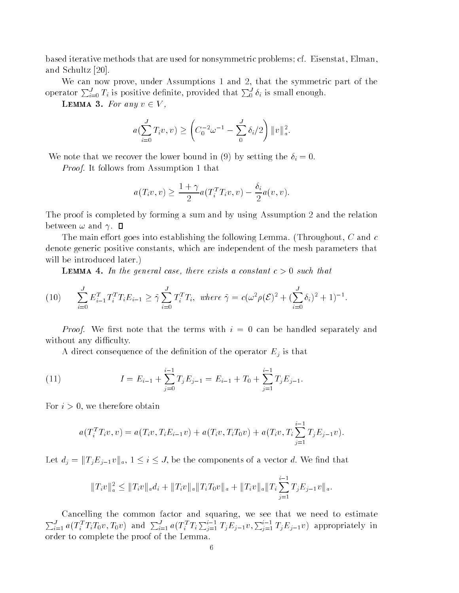based iterative methods that are used for nonsymmetric problems; cf. Eisenstat, Elman, and Schultz Schultz (Schultz)

We can now prove under Assumptions - and that the symmetric part of the operator  $\sum_{i=0}^{J} T_i$  is positive definite, provided that  $\sum_{i=0}^{J} \delta_i$  is small enough.

**LEMMA 3.** For any  $v \in V$ ,

$$
a(\sum_{i=0}^{J} T_i v, v) \ge \left( C_0^{-2} \omega^{-1} - \sum_{i=0}^{J} \delta_i / 2 \right) \|v\|_a^2.
$$

We note that we recover the lower bound in (9) by setting the  $\delta_i = 0$ .

Protection and the state of the state of the state of the state of the state of the state of the state of the s

$$
a(T_i v, v) \ge \frac{1 + \gamma}{2} a(T_i^T T_i v, v) - \frac{\delta_i}{2} a(v, v).
$$

The proof is completed by forming a sum and by using Assumption 2 and the relation between  $\omega$  and  $\gamma$ .  $\Box$ 

The main effort goes into establishing the following Lemma. (Throughout,  $C$  and  $c$ denote generic positive constants, which are independent of the mesh parameters that will be introduced later.)

**LEMMA 4.** In the general case, there exists a constant  $c > 0$  such that

(10) 
$$
\sum_{i=0}^{J} E_{i-1}^{T} T_{i}^{T} T_{i} E_{i-1} \geq \tilde{\gamma} \sum_{i=0}^{J} T_{i}^{T} T_{i}, \text{ where } \tilde{\gamma} = c(\omega^{2} \rho(\mathcal{E})^{2} + (\sum_{i=0}^{J} \delta_{i})^{2} + 1)^{-1}.
$$

*Proof.* We first note that the terms with  $i = 0$  can be handled separately and without any difficulty.

A direct consequence of the definition of the operator  $E_j$  is that

(11) 
$$
I = E_{i-1} + \sum_{j=0}^{i-1} T_j E_{j-1} = E_{i-1} + T_0 + \sum_{j=1}^{i-1} T_j E_{j-1}.
$$

For  $i > 0$ , we therefore obtain

$$
a(T_i^TT_iv,v) = a(T_iv,T_iE_{i-1}v) + a(T_iv,T_iT_0v) + a(T_iv,T_i\sum_{j=1}^{i-1}T_jE_{j-1}v).
$$

Let  $d_j = ||T_j E_{j-1} v||_a$ ,  $1 \le i \le J$ , be the components of a vector d. We find that

$$
||T_i v||_a^2 \le ||T_i v||_a d_i + ||T_i v||_a ||T_i T_0 v||_a + ||T_i v||_a ||T_i \sum_{j=1}^{i-1} T_j E_{j-1} v||_a.
$$

Cancelling the common factor and squaring, we see that we need to estimate  $\sum_{i=1}^{J} a(T_i^T T_i T_0 v, T_0 v)$  and  $\sum_{i=1}^{J} a(T_i^T T_i \sum_{i=1}^{i-1} T_j E_{j-1} v, \sum_{i=1}^{i-1} T_j E_{j-1} v)$  appropriately in order to complete the proof of the Lemma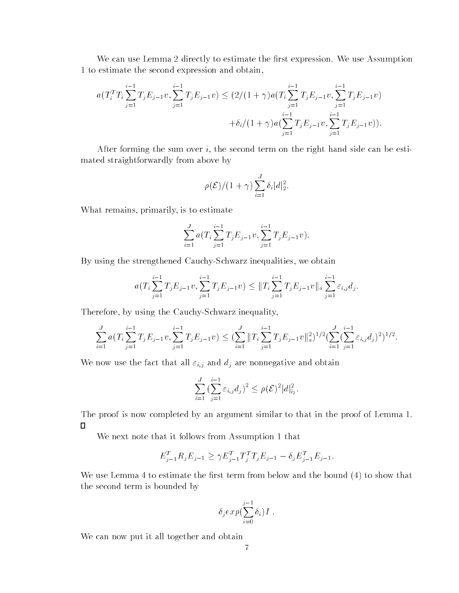We can use Lemma 2 directly to estimate the first expression. We use Assumption - to estimate the second expression and obtain

$$
a(T_i^T T_i \sum_{j=1}^{i-1} T_j E_{j-1} v, \sum_{j=1}^{i-1} T_j E_{j-1} v) \le (2/(1+\gamma)a(T_i \sum_{j=1}^{i-1} T_j E_{j-1} v, \sum_{j=1}^{i-1} T_j E_{j-1} v) + \delta_i/(1+\gamma)a(\sum_{j=1}^{i-1} T_j E_{j-1} v, \sum_{j=1}^{i-1} T_j E_{j-1} v)).
$$

After forming the sum over  $i$ , the second term on the right hand side can be estimated straightforwardly from above by

$$
\rho(\mathcal{E})/(1+\gamma)\sum_{i=1}^J \delta_i|d|_2^2.
$$

What remains, primarily, is to estimate

$$
\sum_{i=1}^{J} a(T_i \sum_{j=1}^{i-1} T_j E_{j-1} v, \sum_{j=1}^{i-1} T_j E_{j-1} v).
$$

By using the strengthened Cauchy-Schwarz inequalities, we obtain

$$
a(T_i \sum_{j=1}^{i-1} T_j E_{j-1} v, \sum_{j=1}^{i-1} T_j E_{j-1} v) \leq ||T_i \sum_{j=1}^{i-1} T_j E_{j-1} v||_a \sum_{j=1}^{i-1} \varepsilon_{i,j} d_j.
$$

Therefore, by using the Cauchy-Schwarz inequality,

$$
\sum_{i=1}^{J} a(T_i \sum_{j=1}^{i-1} T_j E_{j-1} v, \sum_{j=1}^{i-1} T_j E_{j-1} v) \leq (\sum_{i=1}^{J} ||T_i \sum_{j=1}^{i-1} T_j E_{j-1} v||_a^2)^{1/2} (\sum_{i=1}^{J} (\sum_{j=1}^{i-1} \varepsilon_{i,j} d_j)^2)^{1/2}.
$$

We now use the fact that all  $\varepsilon_{i,j}$  and  $d_j$  are nonnegative and obtain

$$
\sum_{i=1}^J \left( \sum_{j=1}^{i-1} \varepsilon_{i,j} d_j \right)^2 \le \rho(\mathcal{E})^2 |d|_{l_2}^2.
$$

The proof is now completed by an argument similar to that in the proof of Lemma -  $\mathcal{N}$  $\Box$ 

we need to a set the interest of the second assumption of the set of the set of  $\mathcal{L}_\mathcal{A}$ 

$$
E_{j-1}^T R_j E_{j-1} \ge \gamma E_{j-1}^T T_j^T T_j E_{j-1} - \delta_j E_{j-1}^T E_{j-1}.
$$

We use Lemma 4 to estimate the first term from below and the bound  $(4)$  to show that the second term is bounded by

$$
\delta_j exp(\sum_{i=0}^{j-1} \delta_i) I .
$$

We can now put it all together and obtain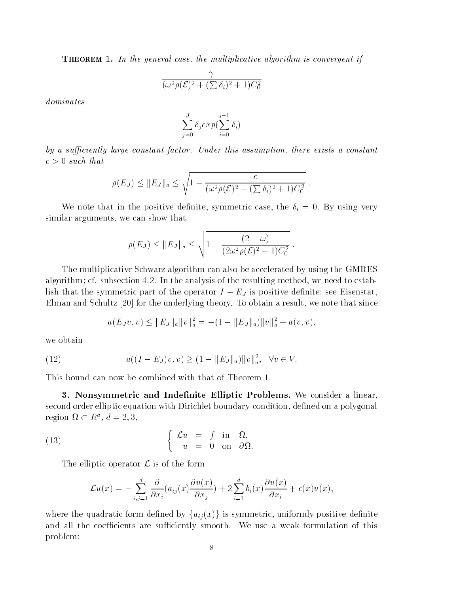**THEOREM** 1. In the general case, the multiplicative algorithm is convergent if

$$
\frac{\gamma}{(\omega^2 \rho(\mathcal{E})^2 + (\sum \delta_i)^2 + 1)C_0^2}
$$

dominates

$$
\sum_{j=0}^J \delta_j exp(\sum_{i=0}^{j-1} \delta_i)
$$

by a sufficiently large constant factor. Under this assumption, there exists a constant  $c \times v$  such that

$$
\rho(E_J) \leq ||E_J||_a \leq \sqrt{1 - \frac{c}{(\omega^2 \rho(\mathcal{E})^2 + (\sum \delta_i)^2 + 1)C_0^2}}.
$$

We note that in the positive definite, symmetric case, the  $\delta_i = 0$ . By using very similar arguments, we can show that

$$
\rho(E_J) \leq ||E_J||_a \leq \sqrt{1 - \frac{(2 - \omega)}{(2\omega^2 \rho(\mathcal{E})^2 + 1)C_0^2}}.
$$

The multiplicative Schwarz algorithm can also be accelerated by using the GMRES algorithm; cf. subsection  $4.2$ . In the analysis of the resulting method, we need to establish that the symmetric part of the operator  $I - E_J$  is positive definite; see Eisenstat,  $\mathbf{f} = \mathbf{f} \mathbf{f}$  and  $\mathbf{f} = \mathbf{f} \mathbf{f}$  and since the underlying theory that since that since that since that since the underlying theory of the underlying theory of the underlying theory of the underlying theory

$$
a(E_Jv, v) \leq ||E_J||_a ||v||_a^2 = -(1 - ||E_J||_a) ||v||_a^2 + a(v, v),
$$

we obtain

(12) 
$$
a((I - E_J)v, v) \ge (1 - ||E_J||_a) ||v||_a^2, \quad \forall v \in V.
$$

 Nonsymmetric and Inde-nite Elliptic Problems We consider a linear second order elliptic equation with Dirichlet boundary condition, defined on a polygonal region  $\Omega \subset R^u$ ,  $d=2,3$ ,

(13) 
$$
\begin{cases} \mathcal{L}u = f \text{ in } \Omega, \\ u = 0 \text{ on } \partial\Omega. \end{cases}
$$

The elliptic operator  $\mathcal L$  is of the form

$$
\mathcal{L}u(x) = -\sum_{i,j=1}^d \frac{\partial}{\partial x_i}(a_{ij}(x)\frac{\partial u(x)}{\partial x_j}) + 2\sum_{i=1}^d b_i(x)\frac{\partial u(x)}{\partial x_i} + c(x)u(x),
$$

where the quadratic form defined by  $\{a_{ij}(x)\}\$ is symmetric, uniformly positive definite and all the coefficients are sufficiently smooth. We use a weak formulation of this problem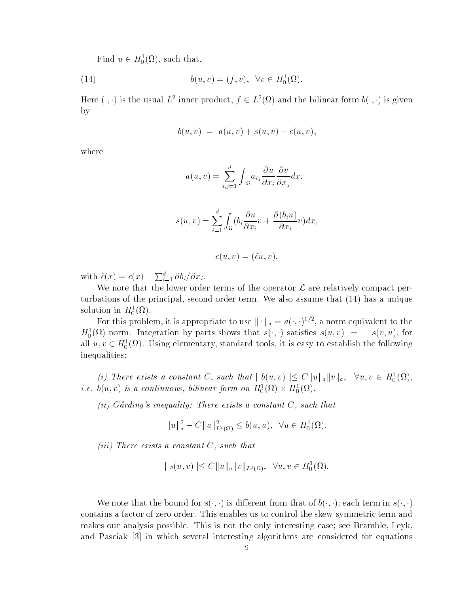Find  $u \in H_0^1(\Omega)$ , such that,

(14) 
$$
b(u, v) = (f, v), \ \forall v \in H_0^1(\Omega).
$$

Here  $(\cdot, \cdot)$  is the usual  $L^2$  inner product,  $f \in L^2(\Omega)$  and the bilinear form  $b(\cdot, \cdot)$  is given by

$$
b(u, v) = a(u, v) + s(u, v) + c(u, v),
$$

where

$$
a(u,v) = \sum_{i,j=1}^d \int_{\Omega} a_{ij} \frac{\partial u}{\partial x_i} \frac{\partial v}{\partial x_j} dx,
$$

$$
s(u, v) = \sum_{i=1}^{d} \int_{\Omega} (b_i \frac{\partial u}{\partial x_i} v + \frac{\partial (b_i u)}{\partial x_i} v) dx,
$$

$$
c(u,v)=(\tilde c u,v),
$$

with  $\tilde{c}(x) = c(x) - \sum_{i=1}^{a} \partial b_i / \partial x_i$ .

We note that the lower order terms of the operator  $\mathcal L$  are relatively compact perturbations of the principal second order terms that we also assume that  $\mathcal{A} = \mathcal{A}$ solution in  $H_0^{\circ}(n)$ .

For this problem, it is appropriate to use  $\|\cdot\|_a = a(\cdot, \cdot)^{1/2}$ , a norm equivalent to the  $H_0^{\alpha}(u)$  horm. Integration by parts shows that  $s(\cdot, \cdot)$  satisfies  $s(u, v) = -s(v, u)$ , for all  $u, v \in H_0^1(\Omega)$ . Using elementary, standard tools, it is easy to establish the following inequalities

(i) There exists a constant C, such that  $|b(u, v)| \leq C ||u||_a ||v||_a, \forall u, v \in H_0^1(\Omega)$ , *i.e.*  $b(u, v)$  is a continuous, bilinear form on  $H_0^1(\Omega) \times H_0^1(\Omega)$ .

ively constantly constantly  $\mathcal{L}$  . There exists a constant  $C$  is a constant that  $\mathcal{L}$ 

$$
||u||_a^2 - C||u||_{L^2(\Omega)}^2 \le b(u, u), \ \ \forall u \in H_0^1(\Omega).
$$

(iii) There exists a constant  $C$ , such that

$$
|s(u, v)| \leq C ||u||_a ||v||_{L^2(\Omega)}, \quad \forall u, v \in H_0^1(\Omega).
$$

We note that the bound for  $s(\cdot, \cdot)$  is different from that of  $b(\cdot, \cdot)$ ; each term in  $s(\cdot, \cdot)$ contains a factor of zero order. This enables us to control the skew-symmetric term and makes our analysis possible. This is not the only interesting case; see Bramble, Leyk, and Pasciak in which several interesting algorithms are considered for equations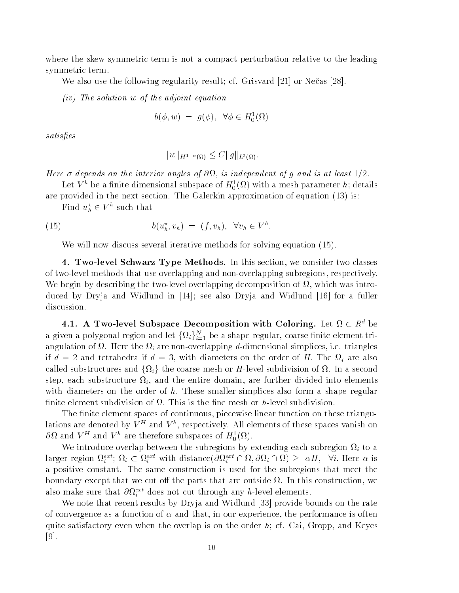where the skew-symmetric term is not a compact perturbation relative to the leading symmetric term 

we also use the following regularity result; in the following result can be a set of  $\mathbb{R}^n$ 

 $(iv)$  The solution w of the adjoint equation

$$
b(\phi, w) = g(\phi), \ \forall \phi \in H_0^1(\Omega)
$$

satis-es

$$
||w||_{H^{1+\sigma}(\Omega)} \leq C ||g||_{L^2(\Omega)}.
$$

 $\pm\sigma$  , a dependent on the interior angles of  $\sigma$  . If  $\sigma$  is independent of  $q$  and  $\sigma$  at least  $\pm\tau$ 

Let  $V^+$  be a ninte dimensional subspace of  $H_0^-(\Omega)$  with a mesh parameter  $n;$  details

are provided in the section of the Galery and Complete approximation of equation ( ) , and

Find  $u_h^* \in V^n$  such that

(15) 
$$
b(u_h^*, v_h) = (f, v_h), \quad \forall v_h \in V^h.
$$

will not discuss the second iterative methods it is seen it and iterative methods for solving  $\mathcal{A}$ 

4. Two-level Schwarz Type Methods. In this section, we consider two classes of two-level methods that use overlapping and non-overlapping subregions, respectively. We begin by describing the two-level overlapping decomposition of  $\Omega$ , which was introduced by Dryja and Widlund in - see also Dryja and Widlund - for a fuller discussion.

4.1. A Two-level Subspace Decomposition with Coloring. Let  $\Omega \subset R^d$  be a given a polygonal region and let  $\{\Omega_i\}_{i=1}^N$  be a shape regular, coarse finite element triangulation of  $\Omega$ . Here the  $\Omega_i$  are non-overlapping d-dimensional simplices, i.e. triangles if  $d = 2$  and tetrahedra if  $d = 3$ , with diameters on the order of H. The  $\Omega_i$  are also called substructures and  $\{\Omega_i\}$  the coarse mesh or H-level subdivision of  $\Omega$ . In a second step, each substructure  $\Omega_i$ , and the entire domain, are further divided into elements with diameters on the order of  $h$ . These smaller simplices also form a shape regular finite element subdivision of  $\Omega$ . This is the fine mesh or h-level subdivision.

The finite element spaces of continuous, piecewise linear function on these triangulations are denoted by  $V^+$  and  $V^-$ , respectively. All elements of these spaces vanish on  $\sigma_{\Omega}$  and  $V$  are therefore subspaces of  $H_0^{\sigma}(\Omega)$ .

We introduce overlap between the subregions by extending each subregion  $\Omega_i$  to a larger region  $\Omega_i^{ext}$ ;  $\Omega_i \subset \Omega_i^{ext}$  with distance $(\partial \Omega_i^{ext} \cap \Omega, \partial \Omega_i \cap \Omega) \geq |\alpha H, |\forall i$ . Here  $\alpha$  is a positive constant. The same construction is used for the subregions that meet the boundary except that we cut off the parts that are outside  $\Omega$ . In this construction, we also make sure that  $\sigma\Omega_i^*$  does not cut through any *n*-level elements.

we note that recent results by Dryja and Widelund is the rate of the rate on the rate  $\sim$ of convergence as a function of  $\alpha$  and that, in our experience, the performance is often quite satisfactory even when the overlap is on the order  $h$ ; cf. Cai, Gropp, and Keyes  $\mathbf{r}$  . The state  $\mathbf{r}$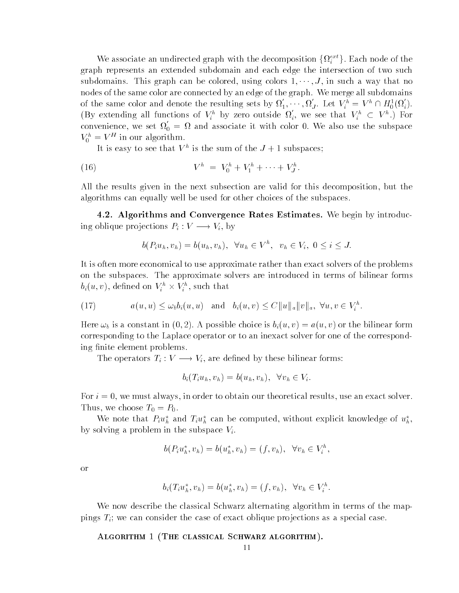We associate an undirected graph with the decomposition  $\{\Omega_i^{ext}\}\)$ . Each node of the graph represents an extended subdomain and each edge the intersection of two such  $\sup$  subdomains. This graph can be colored, using colors  $1, \cdots, J,$  in such a way that no nodes of the same color are connected by an edge of the graph. We merge all subdomains of the same color and denote the resulting sets by  $\Omega_1, \cdots, \Omega_J$ . Let  $V_i^{\scriptscriptstyle n} = V^{\scriptscriptstyle n} \cap H^1_0(\Omega_i)$ . (By extending all functions of  $V_i^h$  by zero outside  $\Omega_i$ , we see that  $V_i^h \subset V^h$ .) For convenience, we set  $\Omega_0 = \Omega$  and associate it with color 0. We also use the subspace  $V_0 = V$  in our algorithm.

It is easy to see that  $V^+$  is the sum of the  $J + 1$  subspaces;

(16) 
$$
V^h = V_0^h + V_1^h + \cdots + V_J^h.
$$

All the results given in the next subsection are valid for this decomposition, but the algorithms can equally well be used for other choices of the subspaces 

4.2. Algorithms and Convergence Rates Estimates. We begin by introducing oblique projections  $P_i: V \longrightarrow V_i$ , by

$$
b(P_iu_h, v_h) = b(u_h, v_h), \quad \forall u_h \in V^h, \quad v_h \in V_i, \quad 0 \leq i \leq J.
$$

It is often more economical to use approximate rather than exact solvers of the problems on the subspaces. The approximate solvers are introduced in terms of bilinear forms  $b_i(u,v)$ , defined on  $V_i^{\prime\prime} \times V_i^{\prime\prime}$ , such that

(17) 
$$
a(u, u) \leq \omega_b b_i(u, u) \text{ and } b_i(u, v) \leq C ||u||_a ||v||_a, \forall u, v \in V_i^h.
$$

Here  $\omega_b$  is a constant in (0,2). A possible choice is  $b_i(u, v) = a(u, v)$  or the bilinear form corresponding to the Laplace operator or to an inexact solver for one of the correspond ing finite element problems.

The operators  $T_i: V \longrightarrow V_i$ , are defined by these bilinear forms:

$$
b_i(T_iu_h, v_h) = b(u_h, v_h), \quad \forall v_h \in V_i.
$$

For  $i = 0$ , we must always, in order to obtain our theoretical results, use an exact solver. Thus we choose T- P- 

We note that  $F_i u_h^*$  and  $T_i u_h^*$  can be computed, without explicit knowledge of  $u_h^*$ , by solving a problem in the subspace  $V_i$ .

$$
b(P_i u_h^*, v_h) = b(u_h^*, v_h) = (f, v_h), \ \ \forall v_h \in V_i^h,
$$

or

$$
b_i(T_i u_h^{\star}, v_h) = b(u_h^{\star}, v_h) = (f, v_h), \quad \forall v_h \in V_i^h.
$$

We now describe the classical Schwarz alternating algorithm in terms of the map pings  $T_i$ ; we can consider the case of exact oblique projections as a special case.

ALGORITHM 1 (THE CLASSICAL SCHWARZ ALGORITHM).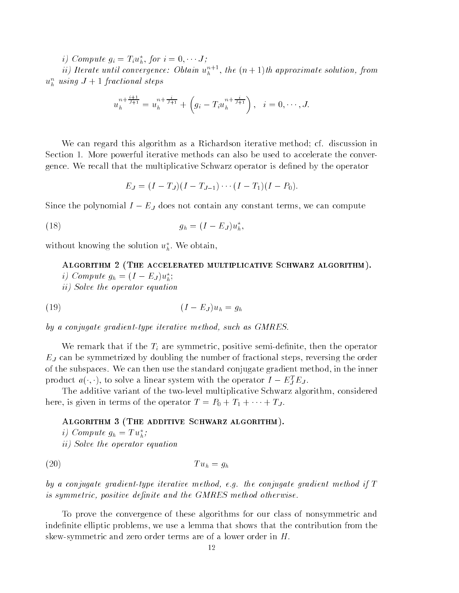*i*) Compute  $g_i = I_i u_{\hat{h}},$  for  $i = 0, \dots, J$ ;

 $n$  iterate until convergence: Obtain  $u_h^{\tau,+}$ , the  $(n+1)$ th approximate solution, from  $u_h^-$  using  $J + 1$  fractional steps

$$
u_h^{n+\frac{i+1}{J+1}} = u_h^{n+\frac{i}{J+1}} + \left(g_i - T_i u_h^{n+\frac{i}{J+1}}\right), \quad i = 0, \cdots, J.
$$

We can regard this algorithm as a Richardson iterative method; cf. discussion in Section - More powerful iterative methods can also be used to accelerate the conver gence. We recall that the multiplicative Schwarz operator is defined by the operator

$$
E_J = (I - T_J)(I - T_{J-1}) \cdots (I - T_1)(I - P_0).
$$

Since the polynomial  $I - E_J$  does not contain any constant terms, we can compute

$$
(18) \t\t g_h = (I - E_J)u_h^*,
$$

without knowing the solution  $u_h^*$ . We obtain,

Algorithm - The accelerated multiplicative Schwarz algorithm *i* Compute  $g_h = (I - E_J)u_h^2$ ; ii) Solve the operator equation

-<sup>I</sup> EJ uh gh

by a conjugate gradient-type iterative method, such as GMRES.

We remark that if the  $T_i$  are symmetric, positive semi-definite, then the operator  $E_J$  can be symmetrized by doubling the number of fractional steps, reversing the order of the subspaces. We can then use the standard conjugate gradient method, in the inner product  $a(\cdot, \cdot)$ , to solve a linear system with the operator  $I = E_j^T E_j$ .

The additive variant of the two-level multiplicative Schwarz algorithm, considered here, is given in terms of the operator  $I = I_0 + I_1 + \cdots + I_J$ .

## ALGORITHM  $3$  (THE ADDITIVE SCHWARZ ALGORITHM).

*i* Compute  $g_h = I u_h$ ; ii) Solve the operator equation

$$
(20) \t\t T u_h = g_h
$$

by a conjugate gradient-type iterative method, e.g. the conjugate gradient method if  $T$ is symmetric positive de-nite and the GMRES method otherwise

To prove the convergence of these algorithms for our class of nonsymmetric and indefinite elliptic problems, we use a lemma that shows that the contribution from the skew-symmetric and zero order terms are of a lower order in  $H$ .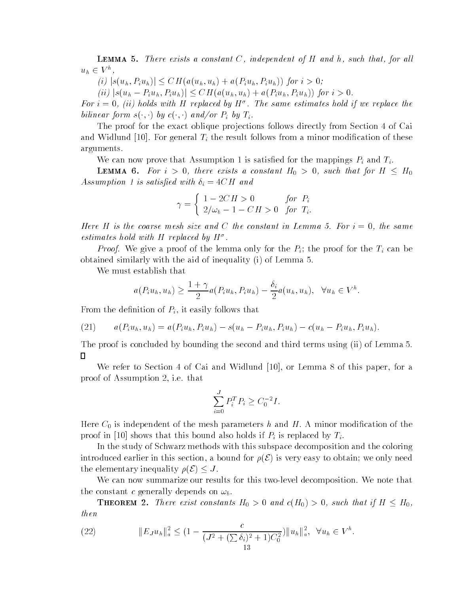**LEMMA 5.** There exists a constant  $C$ , independent of  $H$  and  $h$ , such that, for all  $u_h \in V^n$ ,

(i)  $|s(u_h, P_i u_h)| \leq CH(a(u_h, u_h) + a(P_i u_h, P_i u_h))$  for  $i > 0$ ;

 $(iii) |s(u_h - P_i u_h, P_i u_h)| \leq CH(a(u_h, u_h) + a(P_i u_h, P_i u_h))$  for  $i > 0$ .

For  $i = 0$ , (ii) notas with  $H$  replaced by  $H^+$ . The same estimates hold if we replace the bilinear form  $s(\cdot, \cdot)$  by  $c(\cdot, \cdot)$  and/or  $P_i$  by  $T_i$ .

The proof for the exact oblique projections follows directly from Section 4 of Cai  $\frac{1}{2}$  . For general  $\frac{1}{2}$  and  $\frac{1}{2}$  and  $\frac{1}{2}$  counts from a minor modification of these arguments 

who can now prove that Assumption 1 is satisfied for the mappings  $\mathbb{F}_l$  and  $\mathbb{F}_l$ .

**LEMMA 6.** For  $i > 0$ , there exists a constant  $H_0 > 0$ , such that for  $H \leq H_0$  $\cdots$  and  $\cdots$  is satisfying with  $\cdots$  is  $\cdots$ 

$$
\gamma = \begin{cases} 1 - 2CH > 0 & \text{for } P_i \\ 2/\omega_b - 1 - CH > 0 & \text{for } T_i. \end{cases}
$$

Here H is the coarse mesh size and C the constant in Lemma 5. For  $i = 0$ , the same estimates hold with <sup>H</sup> replaced by <sup>H</sup>

*Proof.* We give a proof of the lemma only for the  $P_i$ ; the proof for the  $T_i$  can be obtained similarly with the aid of inequality  $(i)$  of Lemma 5.

We must establish that

$$
a(P_iu_h, u_h) \ge \frac{1+\gamma}{2}a(P_iu_h, P_iu_h) - \frac{\delta_i}{2}a(u_h, u_h), \quad \forall u_h \in V^h.
$$

From the definition of  $P_i$ , it easily follows that

(21) 
$$
a(P_iu_h, u_h) = a(P_iu_h, P_iu_h) - s(u_h - P_iu_h, P_iu_h) - c(u_h - P_iu_h, P_iu_h).
$$

The proof is concluded by bounding the second and third terms using (ii) of Lemma 5.  $\Gamma$ 

We refer to Section of Cai and Widlund - or Lemma of this paper for a proof of Assumption 2, i.e. that

$$
\sum_{i=0}^{J} P_i^T P_i \ge C_0^{-2} I.
$$

Here C- is independent of the mesh parameters <sup>h</sup> and H A minor modication of the  $\mathbb{R}$  is the this bound also holds if  $\mathbb{R}$  is replaced by  $\mathbb{R}$ .

In the study of Schwarz methods with this subspace decomposition and the coloring introduced earlier in this section, a bound for  $\rho(\mathcal{E})$  is very easy to obtain; we only need the elementary inequality  $\rho(\mathcal{E}) \leq J$ .

We can now summarize our results for this two-level decomposition. We note that the constant c generally depends on  $\omega_b$ .

**THEOREM** 2. There exist constants  $H_0 > 0$  and  $c(H_0) > 0$ , such that if  $H \leq H_0$ , then

(22) 
$$
||E_J u_h||_a^2 \leq (1 - \frac{c}{(J^2 + (\sum \delta_i)^2 + 1)C_0^2}) ||u_h||_a^2, \quad \forall u_h \in V^h.
$$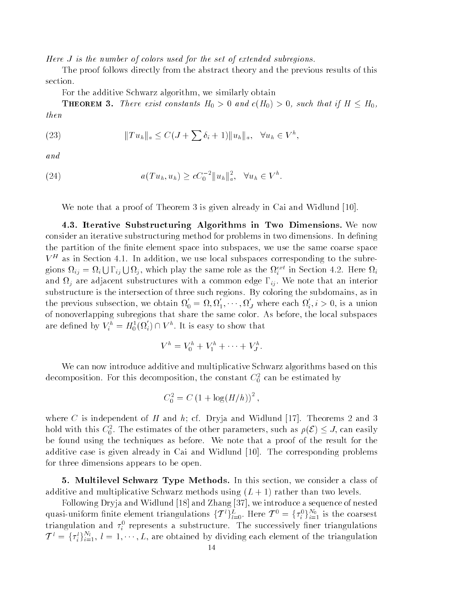Here  $J$  is the number of colors used for the set of extended subregions.

The proof follows directly from the abstract theory and the previous results of this section 

For the additive Schwarz algorithm, we similarly obtain

**THEOREM 3.** There exist constants  $H_0 > 0$  and  $c(H_0) > 0$ , such that if  $H \leq H_0$ , then

(23) 
$$
||Tu_h||_a \leq C(J+\sum \delta_i+1)||u_h||_a, \quad \forall u_h \in V^h,
$$

and

(24) 
$$
a(Tu_h, u_h) \ge cC_0^{-2} ||u_h||_a^2, \quad \forall u_h \in V^h.
$$

we note that a proof of Theorem and Widels and Widels in Cai and Widels and Widels and Widels and Widels and W

4.3. Iterative Substructuring Algorithms in Two Dimensions. We now consider an iterative substructuring method for problems in two dimensions. In defining the partition of the finite element space into subspaces, we use the same coarse space  $V$  as in Section 4.1. In addition, we use local subspaces corresponding to the subregions  $\Omega_{ij} = \Omega_i \cup \Gamma_{ij} \cup \Omega_j$ , which play the same role as the  $\Omega_i^{ext}$  in Section 4.2. Here  $\Omega_i$ and  $\Omega_j$  are adjacent substructures with a common edge  $\Gamma_{ij}$ . We note that an interior substructure is the intersection of three such regions. By coloring the subdomains, as in the previous subsection, we obtain  $\Omega_0 = \Omega, \Omega_1, \cdots, \Omega_J$  where each  $\Omega_i, i > 0$ , is a union of nonoverlapping subregions that share the same color. As before, the local subspaces are defined by  $V_i^n = H_0^1(\Omega_i) \cap V^n$ . It is easy to show that

$$
V^h = V_0^h + V_1^h + \cdots + V_J^h.
$$

We can now introduce additive and multiplicative Schwarz algorithms based on this decomposition. For this decomposition, the constant  $C_0^+$  can be estimated by

$$
C_0^2 = C (1 + \log(H/h))^2,
$$

where  $C$  is independent of H and  $m_1$  or  $D$  ,  $m$  and  $m_1$  , theorems  $m_1$  and  $D$  and  $\alpha$ hold with this  $C_0^2$ . The estimates of the other parameters, such as  $\rho(\mathcal{E}) \leq J$ , can easily be found using the techniques as before We note that a proof of the result for the additive case is given already in Cai and Widelund and Widelund and Widelund and Widelund and Widelund problem for three dimensions appears to be open 

5. Multilevel Schwarz Type Methods. In this section, we consider a class of additive and manuphemicative Schwarz methods using  $\{ \omega_+ | \omega_+ |$  rather than two reveals

Following Dryja and Widlund - and Zhang we introduce a sequence of nested quasi-uniform finite element triangulations  $\{\mathcal{T}^l\}_{l=0}^L$ . Here  $\mathcal{T}^0 = \{\tau_i^0\}_{i=1}^{N_0}$  is the coarsest triangulation and  $\tau_i^-$  represents a substructure. The successively finer triangulations  $\mathcal{T}^{l} = \{\tau_i^l\}_{i=1}^{N_l}, l = 1, \cdots, L$ , are obtained by dividing each element of the triangulation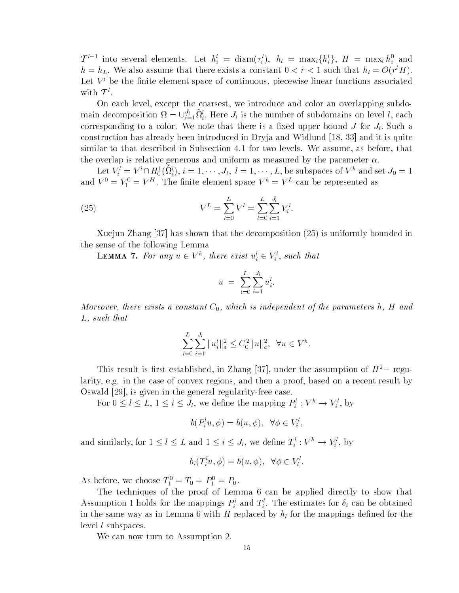$\mathcal{T}^{l-1}$  into several elements. Let  $h_i^l = \text{diam}(\tau_i^l)$ ,  $h_l = \text{max}_i \{h_i^l\}$ ,  $H = \text{max}_i h_i^0$  and  $n = n_L$ , we also assume that there exists a constant  $0 \lt r \lt 1$  such that  $n_l = O(r^*H)$ . Let  $V^l$  be the finite element space of continuous, piecewise linear functions associated with  $\mathcal{T}^l$ .

On each level, except the coarsest, we introduce and color an overlapping subdomain decomposition  $\Omega = \bigcup_{i=1}^n \Omega_i^i$ . Here  $J_l$  is the number of subdomains on level l, each corresponding to a color. We note that there is a fixed upper bound  $J$  for  $J_l$ . Such a construction alone interests the entroduced introduced in Dragon in Dragon part is provided in Dragon and The similar to that described in Subsection  $\|$  two levels  $\|$  as a before that described in  $\|$ the overlap is relative generous and uniform as measured by the parameter  $\alpha$ .

Let  $V_i^* = V^* \cap H_0^*(\Omega_i^i), i = 1, \cdots, J_l, l = 1, \cdots, L$ , be subspaces of  $V^n$  and set  $J_0 = 1$ and  $V^0 = V_1^0 = V^H$ . The finite element space  $V^h = V^L$  can be represented as

(25) 
$$
V^{L} = \sum_{l=0}^{L} V^{l} = \sum_{l=0}^{L} \sum_{i=1}^{J_{l}} V_{i}^{l}.
$$

Xuejun Zhang has shown that the decomposition 
 is uniformly bounded in the sense of the following Lemma

**LEMMA** *T*. For any  $u \in V^n$ , there exist  $u_i^* \in V_i^*$ , such that

$$
u = \sum_{l=0}^{L} \sum_{i=1}^{J_l} u_i^l.
$$

moreover, interestant constant C<sub>0</sub>, anten to independent of the parameters h<sub>1</sub> in and  $L$ , such that

$$
\sum_{l=0}^{L} \sum_{i=1}^{J_l} \|u_i^l\|_a^2 \leq C_0^2 \|u\|_a^2, \ \ \forall u \in V^h.
$$

This result is first established, in Zhang [57], under the assumption of  $H = \text{regu-}$ larity, e.g. in the case of convex regions, and then a proof, based on a recent result by Oswald is given in the general regularityfree case 

For  $0 \leq l \leq L, 1 \leq i \leq J_l$ , we define the mapping  $P_i^i : V^n \to V_i^i$ , by

$$
b(P_i^l u, \phi) = b(u, \phi), \ \ \forall \phi \in V_i^l,
$$

and similarly, for  $1 \leq l \leq L$  and  $1 \leq i \leq J_l$ , we define  $T_i^i : V^n \to V_i^i$ , by

$$
b_i(T_i^l u, \phi) = b(u, \phi), \ \ \forall \phi \in V_i^l.
$$

As before, we choose  $I_1 = I_0 = I_1 = I_0$ .

The techniques of the proof of Lemma 6 can be applied directly to show that Assumption 1 holds for the mappings  $P_i$  and  $T_i$ . The estimates for  $o_i$  can be obtained in the same way as in Lemma 6 with  $H$  replaced by  $h_l$  for the mappings defined for the level *l* subspaces.

We can now turn to Assumption 2.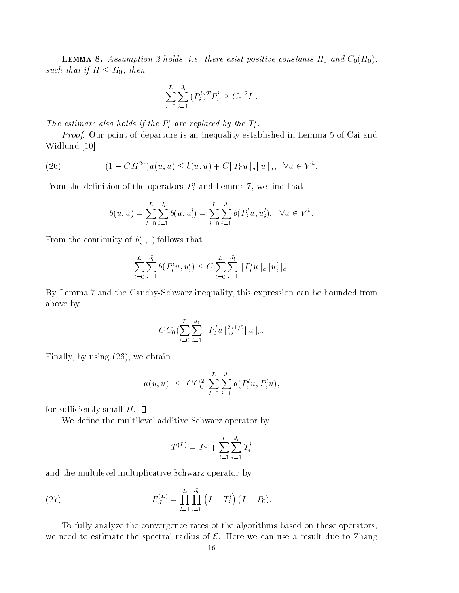**Lemma c.** Troching is a hold is not there exist positive constants H-0 and C-01-1011 such that if  $H \leq H_0$ , then

$$
\sum_{l=0}^{L} \sum_{i=1}^{J_l} (P_i^l)^T P_i^l \ge C_0^{-2} I.
$$

The estimate also holds if the  $P_i$  are replaced by the  $T_i$ .

*Proof.* Our point of departure is an inequality established in Lemma  $5$  of Cai and with the contract of the contract of the contract of the contract of the contract of the contract of the contract of the contract of the contract of the contract of the contract of the contract of the contract of the contr

(26) 
$$
(1 - CH^{2\sigma})a(u, u) \le b(u, u) + C ||P_0u||_a ||u||_a, \quad \forall u \in V^h.
$$

From the definition of the operators  $P_i$  and Lemma  $i$ , we find that

$$
b(u, u) = \sum_{l=0}^{L} \sum_{i=1}^{J_l} b(u, u_i^l) = \sum_{l=0}^{L} \sum_{i=1}^{J_l} b(P_i^l u, u_i^l), \quad \forall u \in V^h.
$$

From the continuity of  $b(\cdot, \cdot)$  follows that

$$
\sum_{l=0}^{L} \sum_{i=1}^{J_l} b(P_i^l u, u_i^l) \leq C \sum_{l=0}^{L} \sum_{i=1}^{J_l} ||P_i^l u||_a ||u_i^l||_a.
$$

By Lemma 7 and the Cauchy-Schwarz inequality, this expression can be bounded from above by

$$
CC_0\left(\sum_{l=0}^L\sum_{i=1}^{J_l} ||P_i^l u||_a^2\right)^{1/2}||u||_a.
$$

Finally, by using  $(26)$ , we obtain

$$
a(u, u) \leq C C_0^2 \sum_{l=0}^{L} \sum_{i=1}^{J_l} a(P_i^l u, P_i^l u),
$$

for sufficiently small  $H$ .  $\square$ 

We define the multilevel additive Schwarz operator by

$$
T^{(L)} = P_0 + \sum_{l=1}^{L} \sum_{i=1}^{J_l} T_i^l
$$

and the multilevel multiplicative Schwarz operator by

(27) 
$$
E_J^{(L)} = \prod_{l=1}^L \prod_{i=1}^{J_l} (I - T_i^l) (I - P_0).
$$

To fully analyze the convergence rates of the algorithms based on these operators we need to estimate the spectral radius of  $\mathcal E$ . Here we can use a result due to Zhang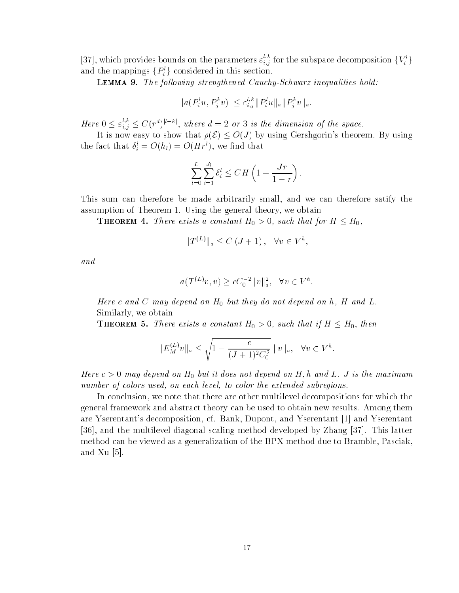[37], which provides bounds on the parameters  $\varepsilon_{i,j}^{i,k}$  for the subspace decomposition  $\{V_i^i\}$ and the mappings  $\{P_i^l\}$  considered in this section.

**LEMMA 9.** The following strengthened Cauchy-Schwarz inequalities hold:

$$
|a(P_i^l u, P_j^k v)| \leq \varepsilon_{i,j}^{l,k} ||P_i^l u||_a ||P_j^k v||_a.
$$

Here  $0 \leq \varepsilon_{i,j}^{c,\kappa} \leq C(r^a)^{1-\kappa_1}$ , where  $d=2$  or 3 is the dimension of the space.

It is now easy to show that  $\rho(\mathcal{E}) \leq O(J)$  by using Gershgorin's theorem. By using the fact that  $o_i = O(n_l) = O( H r^r)$ , we find that

$$
\sum_{l=0}^{L} \sum_{i=1}^{J_l} \delta_i^l \leq CH\left(1 + \frac{Jr}{1-r}\right).
$$

This sum can therefore be made arbitrarily small, and we can therefore satify the we assumpt in the state of Theorem - Theorem - Theorem - Theorem - Theorem - Theorem - Theorem - Theorem - The

**THEOREM** 4. There exists a constant  $H_0 > 0$ , such that for  $H \leq H_0$ ,

$$
||T^{(L)}||_a \le C\left(J+1\right), \quad \forall v \in V^h,
$$

and

$$
a(T^{(L)}v, v) \ge cC_0^{-2} ||v||_a^2, \quad \forall v \in V^h.
$$

Here <sup>c</sup> and <sup>C</sup> may depend on H- but they do not depend on h <sup>H</sup> and L Similarly we obtain

**THEOREM** 5. There exists a constant  $H_0 > 0$ , such that if  $H \leq H_0$ , then

$$
||E_M^{(L)}v||_a \le \sqrt{1 - \frac{c}{(J+1)^2 C_0^2}} ||v||_a, \quad \forall v \in V^h.
$$

 $H$  and  $\sigma$  is the may depend on H  $_0$  out to does not depend on H  $_1$  , it and  $L$  . It is the maximum number of colors used, on each level, to color the extended subregions.

In conclusion, we note that there are other multilevel decompositions for which the general framework and abstract theory can be used to obtain new results. Among them are Yserentants decomposition cf Bank Dupont and Yserentant - and Yserentant is and the multiples of multiples and developed by Zhang method developed by Zhang is a strong contract of method can be viewed as a generalization of the BPX method due to Bramble, Pasciak,  $\cdots$   $\cdots$   $\cdots$   $\cdots$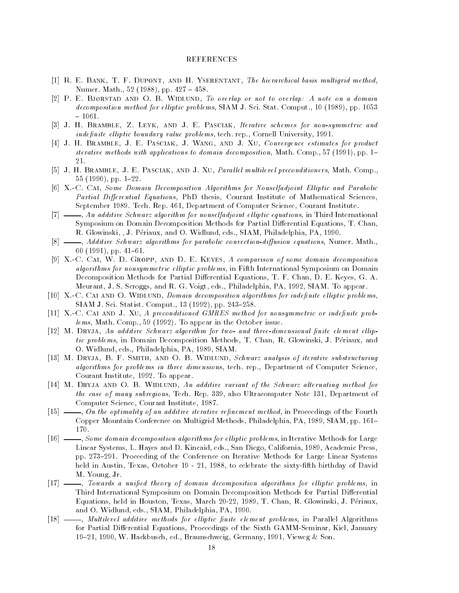- R E Bank T F Dupont and H Yserentant The hierarchical basis multigrid method Numer Math 
 pp
- P E Bj-rstad and O B Widlund To overlap or not to overlap A note on a domain  $\blacksquare$  , and the computation of the computation of the computation of the computation of the computation of the computation of the computation of the computation of the computation of the computation of the computation of
- [3] J. H. BRAMBLE, Z. LEYK, AND J. E. PASCIAK, Iterative schemes for non-symmetric and inde-nite el liptic boundary value problems tech rep Cornell University
- [4] J. H. BRAMBLE, J. E. PASCIAK, J. WANG, AND J. XU, Convergence estimates for product iterative methods with applications to domain decomposition Math Comp  pp 21.
- [5] J. H. BRAMBLE, J. E. PASCIAK, AND J. XU, *Parallel multilevel preconditioners*, Math. Comp., pp
- [6] X.-C. CAI, Some Domain Decomposition Algorithms for Nonselfadjoint Elliptic and Parabolic Partial Differential Equations, PhD thesis, Courant Institute of Mathematical Sciences, , spilled to the production of  $\mathbb{F}_p$  and  $\mathbb{F}_p$  is considered to a courant of  $\mathbb{F}_p$  is a memory of  $\mathbb{F}_p$
- $[7]$   $\_\_\_\_\_$ , An additive Schwarz algorithm for nonselfadjoint elliptic equations, in Third International Symposium on Domain Decomposition Methods for Partial Di-erential Equations T Chan R Glowinski J Periaux and O Widlund eds SIAM Philadelphia PA
- $[8]$   $\longrightarrow$ , Additive Schwarz algorithms for parabolic convection-diffusion equations, Numer. Math., pp
- [9] X.-C. CAI, W. D. GROPP, AND D. E. KEYES, A comparison of some domain decomposition algorithms for nonsymmetric elliptic problems, in Fifth International Symposium on Domain erential Equation also for Partial Di-American Di-American Di-American Di-American Di-American Di-American Diwe are seen to a singlet and all the Party eds Philadelphia Pa appear to appear the Party of the Party of the
- nite and the other than the calculum decomposition algorithms for independent compose for index sizing the statistic computer of the statistic property of the statistic statistic statistic statistic statist
- re and an and the series of preconditioned and descriptions of the series or independent problems and the comp lems we have a semi-rest we computed the October in the October issues.
- n ditive Schwarz als algorithm for the state of the two and three structures in the three controls and the con tic problems, in Domain Decomposition Methods, T. Chan, R. Glowinski, J. Périaux, and O wideling the Philadelphia Party of the Philadelphia Party of the Philadelphia Party of the Philadelphia Party of the Philadelphia Party of the Philadelphia Party of the Philadelphia Party of the Philadelphia Party of the
- m dry b statistic B Smith and O B Widelund Schwarz and O B Widelund Schwarz and Schwarz and Schwarz and Schwarz algorithms for problems in three dimensions, tech. rep., Department of Computer Science, <u> To appear in the set of the set of the set of the set of the set of the set of the set of the set of the set o</u>
- M Dryja and O B Widlund An additive variant of the Schwarz alternating method for the case of many subsets of many subsets of many subsets  $\mathbf I$  also Ultracomputer Note 2014. In the case of the case of the case of the case of the case of the case of the case of the case of the case of the case of the c Computer Science Courant Institute
- $\lceil 15 \rceil$ on the optimality of an additive iterative representative in Proceedings of the Fourth method in Proceedings of Copper Mountain Conference on Mountain Methods Philadelphia Patrol and Patro Philadelphia Patro
- $\lceil 16 \rceil$  - $\rightarrow$ , Some domain decomposition algorithms for elliptic problems, in Iterative Methods for Large and the systems at any the San Diego California (San Diego California eds San Diego California eds San Diego C pp 

 Proceeding of the Conference on Iterative Methods for Large Linear Systems held in Austria October 1988, and the sixtyficial department of David Birthday of David Birthday of David Birthday of David Birthday of David Birthday of David Birthday of David Birthday of David Birthday of David Birthday M. Young, Jr.
- $[17] -$  Towards a uni-ed theory of domain decomposition algorithms for el liptic problems in Third International Symposium on Domain Decomposition Methods for Partial Di-erential Equations held in Houston Texas March 

 T Chan R Glowinski J Periaux and O Widelphia Philadelphia Participate of the SIAM Philadelphia Participate of the SIAM Philadelphia Particip
- Multilevel additive methods for el liptic -nite element problems in Parallel Algorithms for Partial Di-erential Equations Proceedings of the Sixth GAMMSeminar Kiel January where the Braunschweig Germany and Sonstantial Germany Communications of the Sons of the Sons of the Germany Co